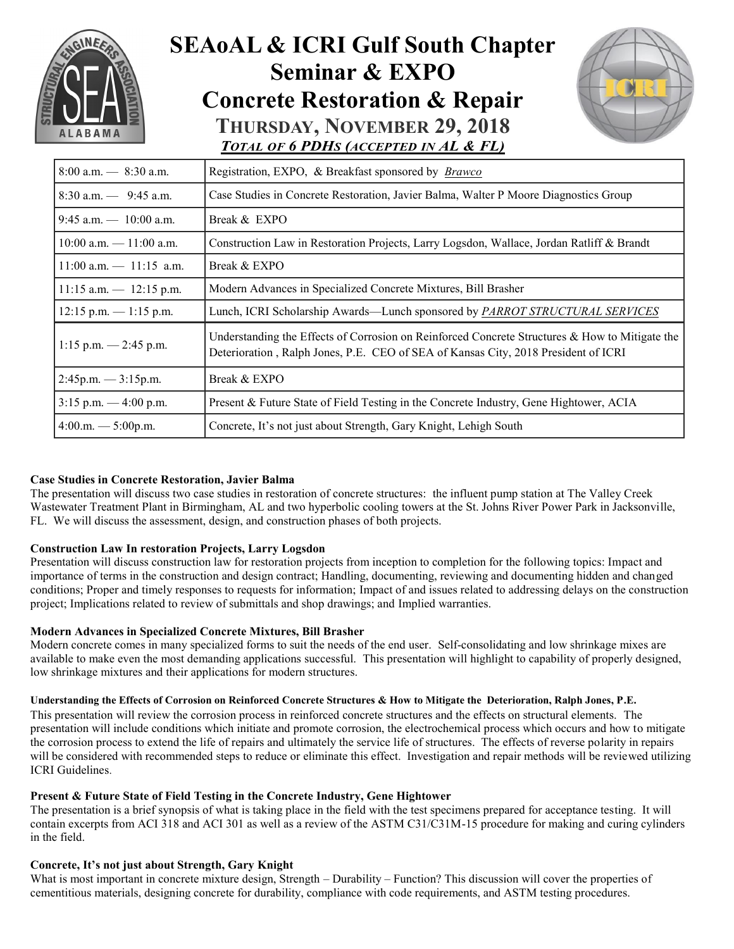

## **SEAoAL & ICRI Gulf South Chapter Seminar & EXPO Concrete Restoration & Repair THURSDAY, NOVEMBER 29, 2018** *TOTAL OF 6 PDHS (ACCEPTED IN AL & FL)*



| $8:00$ a.m. $- 8:30$ a.m.                           | Registration, EXPO, & Breakfast sponsored by <i>Brawco</i>                                                                                                                           |  |  |  |  |
|-----------------------------------------------------|--------------------------------------------------------------------------------------------------------------------------------------------------------------------------------------|--|--|--|--|
| $8:30$ a.m. $-$ 9:45 a.m.                           | Case Studies in Concrete Restoration, Javier Balma, Walter P Moore Diagnostics Group                                                                                                 |  |  |  |  |
| $9:45$ a.m. $-10:00$ a.m.                           | Break & EXPO                                                                                                                                                                         |  |  |  |  |
| $10:00$ a.m. $-11:00$ a.m.                          | Construction Law in Restoration Projects, Larry Logsdon, Wallace, Jordan Ratliff & Brandt                                                                                            |  |  |  |  |
| $11:00$ a.m. $- 11:15$ a.m.                         | Break & EXPO                                                                                                                                                                         |  |  |  |  |
| $11:15$ a.m. $- 12:15$ p.m.                         | Modern Advances in Specialized Concrete Mixtures, Bill Brasher                                                                                                                       |  |  |  |  |
| $12:15$ p.m. $-1:15$ p.m.                           | Lunch, ICRI Scholarship Awards—Lunch sponsored by <i>PARROT STRUCTURAL SERVICES</i>                                                                                                  |  |  |  |  |
| $1:15$ p.m. $-2:45$ p.m.                            | Understanding the Effects of Corrosion on Reinforced Concrete Structures & How to Mitigate the<br>Deterioration, Ralph Jones, P.E. CEO of SEA of Kansas City, 2018 President of ICRI |  |  |  |  |
| $2:45p.m.$ - 3:15p.m.                               | Break & EXPO                                                                                                                                                                         |  |  |  |  |
| $3:15$ p.m. $-4:00$ p.m.                            | Present & Future State of Field Testing in the Concrete Industry, Gene Hightower, ACIA                                                                                               |  |  |  |  |
| $4:00 \text{ m.} \longrightarrow 5:00 \text{ p.m.}$ | Concrete, It's not just about Strength, Gary Knight, Lehigh South                                                                                                                    |  |  |  |  |

#### **Case Studies in Concrete Restoration, Javier Balma**

The presentation will discuss two case studies in restoration of concrete structures: the influent pump station at The Valley Creek Wastewater Treatment Plant in Birmingham, AL and two hyperbolic cooling towers at the St. Johns River Power Park in Jacksonville, FL. We will discuss the assessment, design, and construction phases of both projects.

#### **Construction Law In restoration Projects, Larry Logsdon**

Presentation will discuss construction law for restoration projects from inception to completion for the following topics: Impact and importance of terms in the construction and design contract; Handling, documenting, reviewing and documenting hidden and changed conditions; Proper and timely responses to requests for information; Impact of and issues related to addressing delays on the construction project; Implications related to review of submittals and shop drawings; and Implied warranties.

#### **Modern Advances in Specialized Concrete Mixtures, Bill Brasher**

Modern concrete comes in many specialized forms to suit the needs of the end user. Self-consolidating and low shrinkage mixes are available to make even the most demanding applications successful. This presentation will highlight to capability of properly designed, low shrinkage mixtures and their applications for modern structures.

#### **Understanding the Effects of Corrosion on Reinforced Concrete Structures & How to Mitigate the Deterioration, Ralph Jones, P.E.**

This presentation will review the corrosion process in reinforced concrete structures and the effects on structural elements. The presentation will include conditions which initiate and promote corrosion, the electrochemical process which occurs and how to mitigate the corrosion process to extend the life of repairs and ultimately the service life of structures. The effects of reverse polarity in repairs will be considered with recommended steps to reduce or eliminate this effect. Investigation and repair methods will be reviewed utilizing ICRI Guidelines.

#### **Present & Future State of Field Testing in the Concrete Industry, Gene Hightower**

The presentation is a brief synopsis of what is taking place in the field with the test specimens prepared for acceptance testing. It will contain excerpts from ACI 318 and ACI 301 as well as a review of the ASTM C31/C31M-15 procedure for making and curing cylinders in the field.

#### **Concrete, It's not just about Strength, Gary Knight**

What is most important in concrete mixture design, Strength – Durability – Function? This discussion will cover the properties of cementitious materials, designing concrete for durability, compliance with code requirements, and ASTM testing procedures.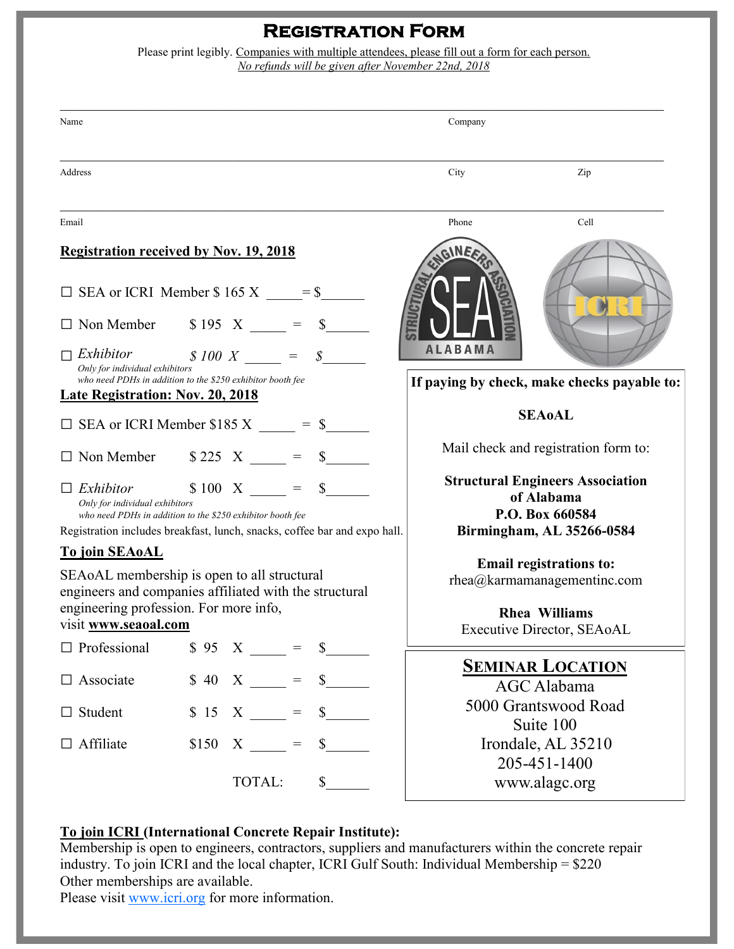### **Registration Form**

Please print legibly. Companies with multiple attendees, please fill out a form for each person. *No refunds will be given after November 22nd, 2018*

| Name                                                                                                  |  |                              |                                                       | Company                                                                                                                                                                                                                                                                                                                                                                      |                                                                                                   |                               |
|-------------------------------------------------------------------------------------------------------|--|------------------------------|-------------------------------------------------------|------------------------------------------------------------------------------------------------------------------------------------------------------------------------------------------------------------------------------------------------------------------------------------------------------------------------------------------------------------------------------|---------------------------------------------------------------------------------------------------|-------------------------------|
| Address                                                                                               |  |                              |                                                       |                                                                                                                                                                                                                                                                                                                                                                              | City                                                                                              | Zip                           |
| Email                                                                                                 |  |                              |                                                       |                                                                                                                                                                                                                                                                                                                                                                              | Phone                                                                                             | Cell                          |
| <b>Registration received by Nov. 19, 2018</b>                                                         |  |                              |                                                       |                                                                                                                                                                                                                                                                                                                                                                              |                                                                                                   |                               |
| $\Box$ SEA or ICRI Member \$165 X = \$                                                                |  |                              |                                                       |                                                                                                                                                                                                                                                                                                                                                                              |                                                                                                   |                               |
| $\Box$ Non Member $\qquad$ \$ 195 X $\qquad$ =                                                        |  |                              |                                                       |                                                                                                                                                                                                                                                                                                                                                                              |                                                                                                   |                               |
| Exhibitor<br>Only for individual exhibitors                                                           |  | $$100 X = $$                 |                                                       |                                                                                                                                                                                                                                                                                                                                                                              | <b>ALABAMA</b>                                                                                    |                               |
| who need PDHs in addition to the \$250 exhibitor booth fee<br><b>Late Registration: Nov. 20, 2018</b> |  |                              |                                                       |                                                                                                                                                                                                                                                                                                                                                                              | If paying by check, make checks payable to:                                                       |                               |
| $\Box$ SEA or ICRI Member \$185 X = \$                                                                |  |                              | <b>SEA0AL</b>                                         |                                                                                                                                                                                                                                                                                                                                                                              |                                                                                                   |                               |
| $\Box$ Non Member $\qquad$ \$ 225 X $\qquad$ = \$                                                     |  |                              |                                                       |                                                                                                                                                                                                                                                                                                                                                                              | Mail check and registration form to:                                                              |                               |
| $$100 X = $$<br>Exhibitor                                                                             |  |                              | <b>Structural Engineers Association</b><br>of Alabama |                                                                                                                                                                                                                                                                                                                                                                              |                                                                                                   |                               |
| Only for individual exhibitors<br>who need PDHs in addition to the \$250 exhibitor booth fee          |  |                              |                                                       | P.O. Box 660584<br>Birmingham, AL 35266-0584                                                                                                                                                                                                                                                                                                                                 |                                                                                                   |                               |
| Registration includes breakfast, lunch, snacks, coffee bar and expo hall.<br><b>To join SEAoAL</b>    |  |                              |                                                       |                                                                                                                                                                                                                                                                                                                                                                              |                                                                                                   |                               |
| SEAOAL membership is open to all structural                                                           |  |                              |                                                       | Email registrations to:<br>$rhea@karmamanaq$ gementinc.com                                                                                                                                                                                                                                                                                                                   |                                                                                                   |                               |
| engineers and companies affiliated with the structural<br>engineering profession. For more info,      |  |                              |                                                       |                                                                                                                                                                                                                                                                                                                                                                              | <b>Rhea Williams</b>                                                                              |                               |
| visit www.seaoal.com                                                                                  |  |                              |                                                       |                                                                                                                                                                                                                                                                                                                                                                              | Executive Director, SEAoAL                                                                        |                               |
| $\Box$ Professional                                                                                   |  | $\text{\$ 95 X \_\_ = \ \$}$ |                                                       |                                                                                                                                                                                                                                                                                                                                                                              |                                                                                                   |                               |
| $\Box$ Associate                                                                                      |  | $$40 X \_ =$                 |                                                       | $\frac{\S_{\frac{1}{2}}}{\S_{\frac{1}{2}}}{\S_{\frac{1}{2}}}{\S_{\frac{1}{2}}}{\S_{\frac{1}{2}}}{\S_{\frac{1}{2}}}{\S_{\frac{1}{2}}}{\S_{\frac{1}{2}}}{\S_{\frac{1}{2}}}{\S_{\frac{1}{2}}}{\S_{\frac{1}{2}}}{\S_{\frac{1}{2}}}{\S_{\frac{1}{2}}}{\S_{\frac{1}{2}}}{\S_{\frac{1}{2}}}{\S_{\frac{1}{2}}}{\S_{\frac{1}{2}}}{\S_{\frac{1}{2}}}{\S_{\frac{1}{2}}}{\S_{\frac{1}{2$ | <b>SEMINAR LOCATION</b><br>AGC Alabama<br>5000 Grantswood Road<br>Suite 100<br>Irondale, AL 35210 |                               |
| $\Box$ Student                                                                                        |  | $$15 X \_ =$                 |                                                       | $\frac{\sqrt{2}}{2}$                                                                                                                                                                                                                                                                                                                                                         |                                                                                                   |                               |
| $\Box$ Affiliate                                                                                      |  | $$150 \t X = $$              |                                                       |                                                                                                                                                                                                                                                                                                                                                                              |                                                                                                   |                               |
|                                                                                                       |  | TOTAL:                       |                                                       | $\frac{\sqrt{2}}{2}$                                                                                                                                                                                                                                                                                                                                                         |                                                                                                   | 205-451-1400<br>www.alagc.org |

### **To join ICRI (International Concrete Repair Institute):**

Membership is open to engineers, contractors, suppliers and manufacturers within the concrete repair industry. To join ICRI and the local chapter, ICRI Gulf South: Individual Membership =  $$220$ Other memberships are available.

Please visit [www.icri.org](http://www.icri.org) for more information.